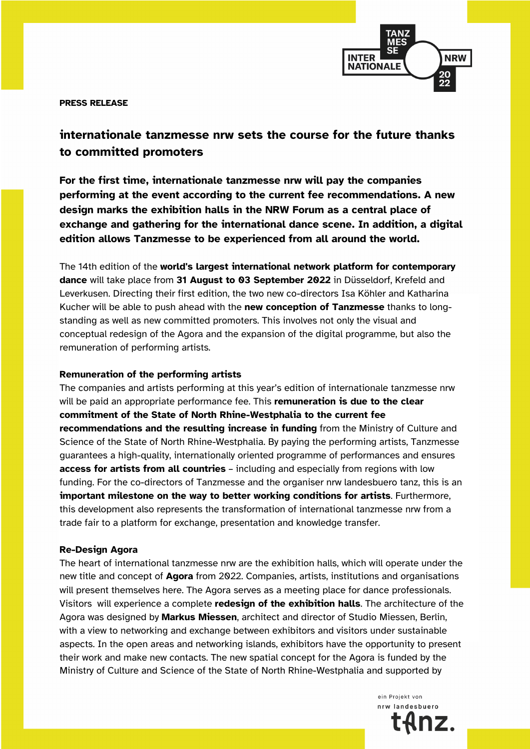

**PRESS RELEASE**

# **internationale tanzmesse nrw sets the course for the future thanks to committed promoters**

**For the first time, internationale tanzmesse nrw will pay the companies performing at the event according to the current fee recommendations. A new design marks the exhibition halls in the NRW Forum as a central place of exchange and gathering for the international dance scene. In addition, a digital edition allows Tanzmesse to be experienced from all around the world.**

The 14th edition of the **world's largest international network platform for contemporary dance** will take place from **31 August to 03 September 2022** in Düsseldorf, Krefeld and Leverkusen. Directing their first edition, the two new co-directors Isa Köhler and Katharina Kucher will be able to push ahead with the **new conception of Tanzmesse** thanks to longstanding as well as new committed promoters. This involves not only the visual and conceptual redesign of the Agora and the expansion of the digital programme, but also the remuneration of performing artists.

### **Remuneration of the performing artists**

The companies and artists performing at this year's edition of internationale tanzmesse nrw will be paid an appropriate performance fee. This **remuneration is due to the clear commitment of the State of North Rhine-Westphalia to the current fee recommendations and the resulting increase in funding** from the Ministry of Culture and Science of the State of North Rhine-Westphalia. By paying the performing artists, Tanzmesse guarantees a high-quality, internationally oriented programme of performances and ensures **access for artists from all countries** – including and especially from regions with low funding. For the co-directors of Tanzmesse and the organiser nrw landesbuero tanz, this is an **important milestone on the way to better working conditions for artists**. Furthermore, this development also represents the transformation of international tanzmesse nrw from a trade fair to a platform for exchange, presentation and knowledge transfer.

#### **Re-Design Agora**

The heart of international tanzmesse nrw are the exhibition halls, which will operate under the new title and concept of **Agora** from 2022. Companies, artists, institutions and organisations will present themselves here. The Agora serves as a meeting place for dance professionals. Visitors will experience a complete **redesign of the exhibition halls**. The architecture of the Agora was designed by **Markus Miessen**, architect and director of Studio Miessen, Berlin, with a view to networking and exchange between exhibitors and visitors under sustainable aspects. In the open areas and networking islands, exhibitors have the opportunity to present their work and make new contacts. The new spatial concept for the Agora is funded by the Ministry of Culture and Science of the State of North Rhine-Westphalia and supported by

> ein Projekt von nrw landesbuero nz.